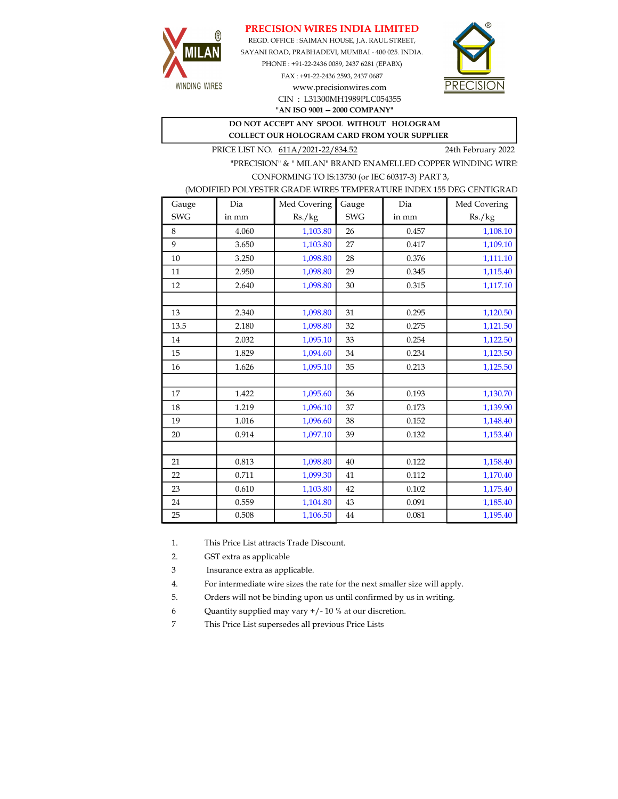## PRECISION WIRES INDIA LIMITED



REGD. OFFICE : SAIMAN HOUSE, J.A. RAUL STREET, SAYANI ROAD, PRABHADEVI, MUMBAI - 400 025. INDIA. PHONE : +91-22-2436 0089, 2437 6281 (EPABX)

> FAX : +91-22-2436 2593, 2437 0687 www.precisionwires.com CIN : L31300MH1989PLC054355



# "AN ISO 9001 -- 2000 COMPANY"

#### DO NOT ACCEPT ANY SPOOL WITHOUT HOLOGRAM COLLECT OUR HOLOGRAM CARD FROM YOUR SUPPLIER

PRICE LIST NO. 611A/2021-22/834.52 24th February 2022

"PRECISION" & " MILAN" BRAND ENAMELLED COPPER WINDING WIRE CONFORMING TO IS:13730 (or IEC 60317-3) PART 3,

### (MODIFIED POLYESTER GRADE WIRES TEMPERATURE INDEX 155 DEG CENTIGRAD

| Gauge      | Dia   | Med Covering | Gauge      | Dia   | Med Covering |
|------------|-------|--------------|------------|-------|--------------|
| <b>SWG</b> | in mm | Rs./kg       | <b>SWG</b> | in mm | Rs./kg       |
| 8          | 4.060 | 1,103.80     | 26         | 0.457 | 1,108.10     |
| 9          | 3.650 | 1,103.80     | 27         | 0.417 | 1,109.10     |
| 10         | 3.250 | 1,098.80     | 28         | 0.376 | 1,111.10     |
| 11         | 2.950 | 1,098.80     | 29         | 0.345 | 1,115.40     |
| 12         | 2.640 | 1,098.80     | 30         | 0.315 | 1,117.10     |
|            |       |              |            |       |              |
| 13         | 2.340 | 1,098.80     | 31         | 0.295 | 1,120.50     |
| 13.5       | 2.180 | 1,098.80     | 32         | 0.275 | 1,121.50     |
| 14         | 2.032 | 1,095.10     | 33         | 0.254 | 1,122.50     |
| 15         | 1.829 | 1,094.60     | 34         | 0.234 | 1,123.50     |
| 16         | 1.626 | 1,095.10     | 35         | 0.213 | 1,125.50     |
|            |       |              |            |       |              |
| 17         | 1.422 | 1,095.60     | 36         | 0.193 | 1,130.70     |
| 18         | 1.219 | 1,096.10     | 37         | 0.173 | 1,139.90     |
| 19         | 1.016 | 1,096.60     | 38         | 0.152 | 1,148.40     |
| 20         | 0.914 | 1,097.10     | 39         | 0.132 | 1,153.40     |
|            |       |              |            |       |              |
| 21         | 0.813 | 1,098.80     | 40         | 0.122 | 1,158.40     |
| 22         | 0.711 | 1,099.30     | 41         | 0.112 | 1,170.40     |
| 23         | 0.610 | 1,103.80     | 42         | 0.102 | 1,175.40     |
| 24         | 0.559 | 1,104.80     | 43         | 0.091 | 1,185.40     |
| 25         | 0.508 | 1,106.50     | 44         | 0.081 | 1,195.40     |

1. This Price List attracts Trade Discount.

2. GST extra as applicable

3 Insurance extra as applicable.

4. For intermediate wire sizes the rate for the next smaller size will apply.

5. Orders will not be binding upon us until confirmed by us in writing.

6 Quantity supplied may vary +/- 10 % at our discretion.

7 This Price List supersedes all previous Price Lists